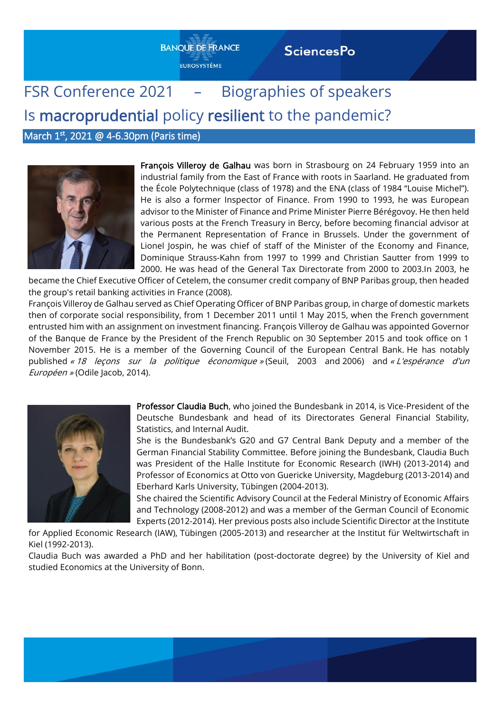# **BANOUE DE FRANCE**

**EUROSYSTÈME** 

#### **SciencesPo**

## FSR Conference 2021 – Biographies of speakers Is macroprudential policy resilient to the pandemic?

March 1<sup>st</sup>, 2021 @ 4-6.30pm (Paris time)



François Villeroy de Galhau was born in Strasbourg on 24 February 1959 into an industrial family from the East of France with roots in Saarland. He graduated from the École Polytechnique (class of 1978) and the ENA (class of 1984 "Louise Michel"). He is also a former Inspector of Finance. From 1990 to 1993, he was European advisor to the Minister of Finance and Prime Minister Pierre Bérégovoy. He then held various posts at the French Treasury in Bercy, before becoming financial advisor at the Permanent Representation of France in Brussels. Under the government of Lionel Jospin, he was chief of staff of the Minister of the Economy and Finance, Dominique Strauss-Kahn from 1997 to 1999 and Christian Sautter from 1999 to 2000. He was head of the General Tax Directorate from 2000 to 2003.In 2003, he

became the Chief Executive Officer of Cetelem, the consumer credit company of BNP Paribas group, then headed the group's retail banking activities in France (2008).

François Villeroy de Galhau served as Chief Operating Officer of BNP Paribas group, in charge of domestic markets then of corporate social responsibility, from 1 December 2011 until 1 May 2015, when the French government entrusted him with an assignment on investment financing. François Villeroy de Galhau was appointed Governor of the Banque de France by the President of the French Republic on 30 September 2015 and took office on 1 November 2015. He is a member of the Governing Council of the European Central Bank. He has notably published « 18 leçons sur la politique économique » (Seuil, 2003 and 2006) and « L'espérance d'un Européen » (Odile Jacob, 2014).



Professor Claudia Buch, who joined the Bundesbank in 2014, is Vice-President of the Deutsche Bundesbank and head of its Directorates General Financial Stability, Statistics, and Internal Audit.

She is the Bundesbank's G20 and G7 Central Bank Deputy and a member of the German Financial Stability Committee. Before joining the Bundesbank, Claudia Buch was President of the Halle Institute for Economic Research (IWH) (2013-2014) and Professor of Economics at Otto von Guericke University, Magdeburg (2013-2014) and Eberhard Karls University, Tübingen (2004-2013).

She chaired the Scientific Advisory Council at the Federal Ministry of Economic Affairs and Technology (2008-2012) and was a member of the German Council of Economic Experts (2012-2014). Her previous posts also include Scientific Director at the Institute

for Applied Economic Research (IAW), Tübingen (2005-2013) and researcher at the Institut für Weltwirtschaft in Kiel (1992-2013).

Claudia Buch was awarded a PhD and her habilitation (post-doctorate degree) by the University of Kiel and studied Economics at the University of Bonn.

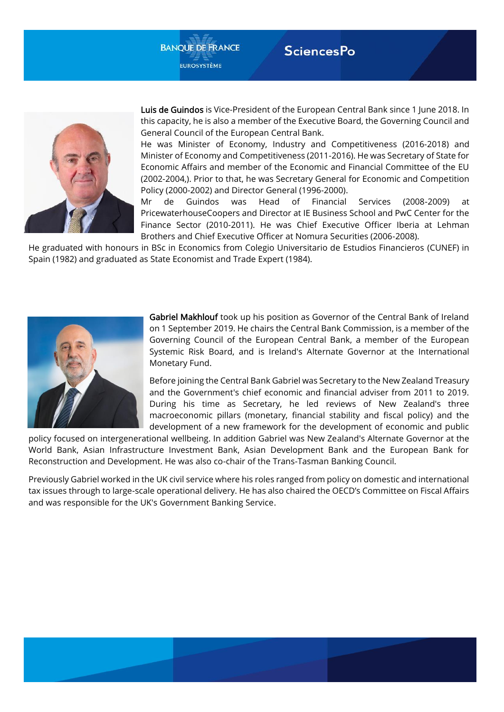



Luis de Guindos is Vice-President of the European Central Bank since 1 June 2018. In this capacity, he is also a member of the Executive Board, the Governing Council and General Council of the European Central Bank.

He was Minister of Economy, Industry and Competitiveness (2016-2018) and Minister of Economy and Competitiveness (2011-2016). He was Secretary of State for Economic Affairs and member of the Economic and Financial Committee of the EU (2002-2004,). Prior to that, he was Secretary General for Economic and Competition Policy (2000-2002) and Director General (1996-2000).

Mr de Guindos was Head of Financial Services (2008-2009) at PricewaterhouseCoopers and Director at IE Business School and PwC Center for the Finance Sector (2010-2011). He was Chief Executive Officer Iberia at Lehman Brothers and Chief Executive Officer at Nomura Securities (2006-2008).

He graduated with honours in BSc in Economics from Colegio Universitario de Estudios Financieros (CUNEF) in Spain (1982) and graduated as State Economist and Trade Expert (1984).



Gabriel Makhlouf took up his position as Governor of the Central Bank of Ireland on 1 September 2019. He chairs the Central Bank Commission, is a member of the Governing Council of the European Central Bank, a member of the European Systemic Risk Board, and is Ireland's Alternate Governor at the International Monetary Fund.

Before joining the Central Bank Gabriel was Secretary to the New Zealand Treasury and the Government's chief economic and financial adviser from 2011 to 2019. During his time as Secretary, he led reviews of New Zealand's three macroeconomic pillars (monetary, financial stability and fiscal policy) and the development of a new framework for the development of economic and public

policy focused on intergenerational wellbeing. In addition Gabriel was New Zealand's Alternate Governor at the World Bank, Asian Infrastructure Investment Bank, Asian Development Bank and the European Bank for Reconstruction and Development. He was also co-chair of the Trans-Tasman Banking Council.

Previously Gabriel worked in the UK civil service where his roles ranged from policy on domestic and international tax issues through to large-scale operational delivery. He has also chaired the OECD's Committee on Fiscal Affairs and was responsible for the UK's Government Banking Service.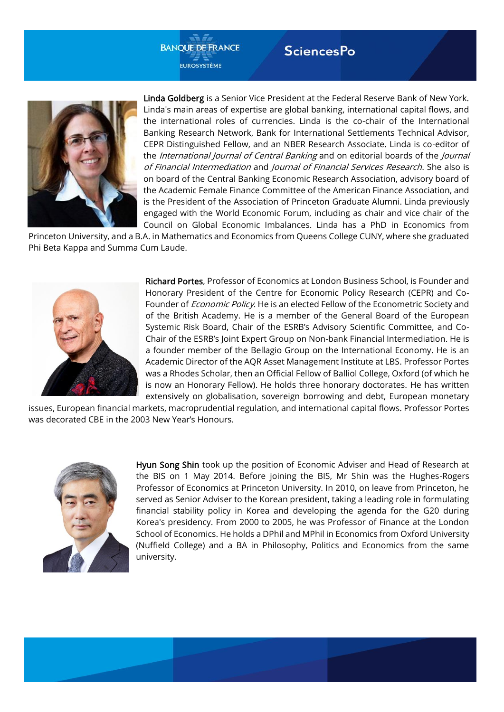#### **BANOUE DE FRANCE EUROSYSTÈME**

#### **SciencesPo**



Linda Goldberg is a Senior Vice President at the Federal Reserve Bank of New York. Linda's main areas of expertise are global banking, international capital flows, and the international roles of currencies. Linda is the co-chair of the International Banking Research Network, Bank for International Settlements Technical Advisor, CEPR Distinguished Fellow, and an NBER Research Associate. Linda is co-editor of the *International Journal of Central Banking* and on editorial boards of the *Journal* of Financial Intermediation and Journal of Financial Services Research. She also is on board of the Central Banking Economic Research Association, advisory board of the Academic Female Finance Committee of the American Finance Association, and is the President of the Association of Princeton Graduate Alumni. Linda previously engaged with the World Economic Forum, including as chair and vice chair of the Council on Global Economic Imbalances. Linda has a PhD in Economics from

Princeton University, and a B.A. in Mathematics and Economics from Queens College CUNY, where she graduated Phi Beta Kappa and Summa Cum Laude.



Richard Portes, Professor of Economics at London Business School, is Founder and Honorary President of the Centre for Economic Policy Research (CEPR) and Co-Founder of *Economic Policy*. He is an elected Fellow of the Econometric Society and of the British Academy. He is a member of the General Board of the European Systemic Risk Board, Chair of the ESRB's Advisory Scientific Committee, and Co-Chair of the ESRB's Joint Expert Group on Non-bank Financial Intermediation. He is a founder member of the Bellagio Group on the International Economy. He is an Academic Director of the AQR Asset Management Institute at LBS. Professor Portes was a Rhodes Scholar, then an Official Fellow of Balliol College, Oxford (of which he is now an Honorary Fellow). He holds three honorary doctorates. He has written extensively on globalisation, sovereign borrowing and debt, European monetary

issues, European financial markets, macroprudential regulation, and international capital flows. Professor Portes was decorated CBE in the 2003 New Year's Honours.



Hyun Song Shin took up the position of Economic Adviser and Head of Research at the BIS on 1 May 2014. Before joining the BIS, Mr Shin was the Hughes-Rogers Professor of Economics at Princeton University. In 2010, on leave from Princeton, he served as Senior Adviser to the Korean president, taking a leading role in formulating financial stability policy in Korea and developing the agenda for the G20 during Korea's presidency. From 2000 to 2005, he was Professor of Finance at the London School of Economics. He holds a DPhil and MPhil in Economics from Oxford University (Nuffield College) and a BA in Philosophy, Politics and Economics from the same university.